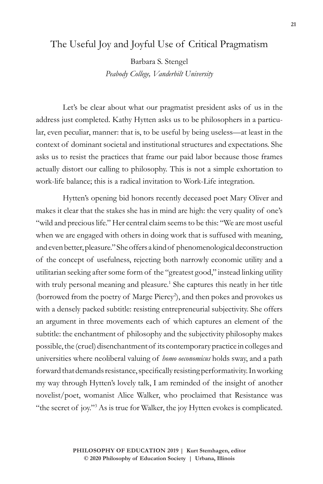## The Useful Joy and Joyful Use of Critical Pragmatism

Barbara S. Stengel *Peabody College, Vanderbilt University*

Let's be clear about what our pragmatist president asks of us in the address just completed. Kathy Hytten asks us to be philosophers in a particular, even peculiar, manner: that is, to be useful by being useless—at least in the context of dominant societal and institutional structures and expectations. She asks us to resist the practices that frame our paid labor because those frames actually distort our calling to philosophy. This is not a simple exhortation to work-life balance; this is a radical invitation to Work-Life integration.

Hytten's opening bid honors recently deceased poet Mary Oliver and makes it clear that the stakes she has in mind are high: the very quality of one's "wild and precious life." Her central claim seems to be this: "We are most useful when we are engaged with others in doing work that is suffused with meaning, and even better, pleasure." She offers a kind of phenomenological deconstruction of the concept of usefulness, rejecting both narrowly economic utility and a utilitarian seeking after some form of the "greatest good," instead linking utility with truly personal meaning and pleasure.<sup>1</sup> She captures this neatly in her title (borrowed from the poetry of Marge Piercy<sup>2</sup>), and then pokes and provokes us with a densely packed subtitle: resisting entrepreneurial subjectivity. She offers an argument in three movements each of which captures an element of the subtitle: the enchantment of philosophy and the subjectivity philosophy makes possible, the (cruel) disenchantment of its contemporary practice in colleges and universities where neoliberal valuing of *homo oeconomicus* holds sway, and a path forward that demands resistance, specifically resisting performativity. In working my way through Hytten's lovely talk, I am reminded of the insight of another novelist/poet, womanist Alice Walker, who proclaimed that Resistance was "the secret of joy."<sup>3</sup> As is true for Walker, the joy Hytten evokes is complicated.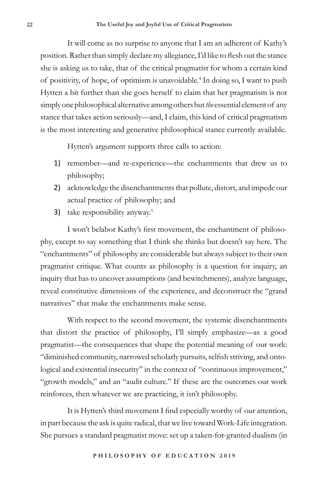It will come as no surprise to anyone that I am an adherent of Kathy's position. Rather than simply declare my allegiance, I'd like to flesh out the stance she is asking us to take, that of the critical pragmatist for whom a certain kind of positivity, of hope, of optimism is unavoidable.<sup>4</sup> In doing so, I want to push Hytten a bit further than she goes herself to claim that her pragmatism is not simply one philosophical alternative among others but *the* essential element of any stance that takes action seriously—and, I claim, this kind of critical pragmatism is the most interesting and generative philosophical stance currently available.

Hytten's argument supports three calls to action:

- 1) remember—and re-experience—the enchantments that drew us to philosophy;
- 2) acknowledge the disenchantments that pollute, distort, and impede our actual practice of philosophy; and
- 3) take responsibility anyway.<sup>5</sup>

I won't belabor Kathy's first movement, the enchantment of philosophy, except to say something that I think she thinks but doesn't say here. The "enchantments" of philosophy are considerable but always subject to their own pragmatist critique. What counts as philosophy is a question for inquiry, an inquiry that has to uncover assumptions (and bewitchments), analyze language, reveal constitutive dimensions of the experience, and deconstruct the "grand narratives" that make the enchantments make sense.

With respect to the second movement, the systemic disenchantments that distort the practice of philosophy, I'll simply emphasize—as a good pragmatist—the consequences that shape the potential meaning of our work: "diminished community, narrowed scholarly pursuits, selfish striving, and ontological and existential insecurity" in the context of "continuous improvement," "growth models," and an "audit culture." If these are the outcomes our work reinforces, then whatever we are practicing, it isn't philosophy.

It is Hytten's third movement I find especially worthy of our attention, in part because the ask is quite radical, that we live toward Work-Life integration. She pursues a standard pragmatist move: set up a taken-for-granted dualism (in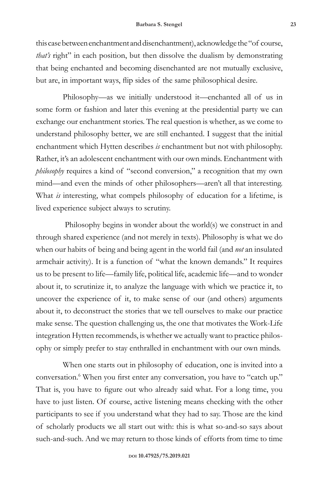this case between enchantment and disenchantment), acknowledge the "of course, *that's* right" in each position, but then dissolve the dualism by demonstrating that being enchanted and becoming disenchanted are not mutually exclusive, but are, in important ways, flip sides of the same philosophical desire.

Philosophy—as we initially understood it—enchanted all of us in some form or fashion and later this evening at the presidential party we can exchange our enchantment stories. The real question is whether, as we come to understand philosophy better, we are still enchanted. I suggest that the initial enchantment which Hytten describes *is* enchantment but not with philosophy. Rather, it's an adolescent enchantment with our own minds. Enchantment with *philosophy* requires a kind of "second conversion," a recognition that my own mind—and even the minds of other philosophers—aren't all that interesting. What *is* interesting, what compels philosophy of education for a lifetime, is lived experience subject always to scrutiny.

 Philosophy begins in wonder about the world(s) we construct in and through shared experience (and not merely in texts). Philosophy is what we do when our habits of being and being agent in the world fail (and *not* an insulated armchair activity). It is a function of "what the known demands." It requires us to be present to life—family life, political life, academic life—and to wonder about it, to scrutinize it, to analyze the language with which we practice it, to uncover the experience of it, to make sense of our (and others) arguments about it, to deconstruct the stories that we tell ourselves to make our practice make sense. The question challenging us, the one that motivates the Work-Life integration Hytten recommends, is whether we actually want to practice philosophy or simply prefer to stay enthralled in enchantment with our own minds.

When one starts out in philosophy of education, one is invited into a conversation.6 When you first enter any conversation, you have to "catch up." That is, you have to figure out who already said what. For a long time, you have to just listen. Of course, active listening means checking with the other participants to see if you understand what they had to say. Those are the kind of scholarly products we all start out with: this is what so-and-so says about such-and-such. And we may return to those kinds of efforts from time to time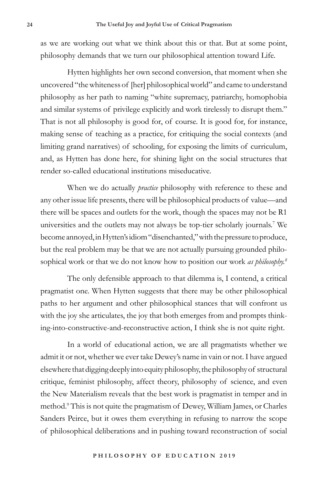as we are working out what we think about this or that. But at some point, philosophy demands that we turn our philosophical attention toward Life.

Hytten highlights her own second conversion, that moment when she uncovered "the whiteness of [her] philosophical world" and came to understand philosophy as her path to naming "white supremacy, patriarchy, homophobia and similar systems of privilege explicitly and work tirelessly to disrupt them." That is not all philosophy is good for, of course. It is good for, for instance, making sense of teaching as a practice, for critiquing the social contexts (and limiting grand narratives) of schooling, for exposing the limits of curriculum, and, as Hytten has done here, for shining light on the social structures that render so-called educational institutions miseducative.

When we do actually *practice* philosophy with reference to these and any other issue life presents, there will be philosophical products of value—and there will be spaces and outlets for the work, though the spaces may not be R1 universities and the outlets may not always be top-tier scholarly journals.<sup>7</sup> We become annoyed, in Hytten's idiom "disenchanted," with the pressure to produce, but the real problem may be that we are not actually pursuing grounded philosophical work or that we do not know how to position our work *as philosophy.8*

The only defensible approach to that dilemma is, I contend, a critical pragmatist one. When Hytten suggests that there may be other philosophical paths to her argument and other philosophical stances that will confront us with the joy she articulates, the joy that both emerges from and prompts thinking-into-constructive-and-reconstructive action, I think she is not quite right.

In a world of educational action, we are all pragmatists whether we admit it or not, whether we ever take Dewey's name in vain or not. I have argued elsewhere that digging deeply into equity philosophy, the philosophy of structural critique, feminist philosophy, affect theory, philosophy of science, and even the New Materialism reveals that the best work is pragmatist in temper and in method.9 This is not quite the pragmatism of Dewey, William James, or Charles Sanders Peirce, but it owes them everything in refusing to narrow the scope of philosophical deliberations and in pushing toward reconstruction of social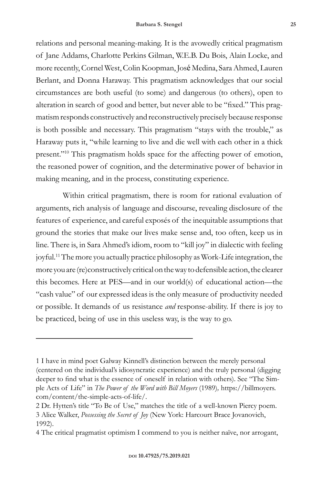relations and personal meaning-making. It is the avowedly critical pragmatism of Jane Addams, Charlotte Perkins Gilman, W.E.B. Du Bois, Alain Locke, and more recently, Cornel West, Colin Koopman, José Medina, Sara Ahmed, Lauren Berlant, and Donna Haraway. This pragmatism acknowledges that our social circumstances are both useful (to some) and dangerous (to others), open to alteration in search of good and better, but never able to be "fixed." This pragmatism responds constructively and reconstructively precisely because response is both possible and necessary. This pragmatism "stays with the trouble," as Haraway puts it, "while learning to live and die well with each other in a thick present."10 This pragmatism holds space for the affecting power of emotion, the reasoned power of cognition, and the determinative power of behavior in making meaning, and in the process, constituting experience.

Within critical pragmatism, there is room for rational evaluation of arguments, rich analysis of language and discourse, revealing disclosure of the features of experience, and careful exposés of the inequitable assumptions that ground the stories that make our lives make sense and, too often, keep us in line. There is, in Sara Ahmed's idiom, room to "kill joy" in dialectic with feeling joyful.11 The more you actually practice philosophy as Work-Life integration, the more you are (re)constructively critical on the way to defensible action, the clearer this becomes. Here at PES—and in our world(s) of educational action—the "cash value" of our expressed ideas is the only measure of productivity needed or possible. It demands of us resistance *and* response-ability. If there is joy to be practiced, being of use in this useless way, is the way to go.

<sup>1</sup> I have in mind poet Galway Kinnell's distinction between the merely personal (centered on the individual's idiosyncratic experience) and the truly personal (digging deeper to find what is the essence of oneself in relation with others). See "The Simple Acts of Life" in *The Power of the Word with Bill Moyers* (1989)*,* https://billmoyers. com/content/the-simple-acts-of-life/.

<sup>2</sup> Dr. Hytten's title "To Be of Use," matches the title of a well-known Piercy poem. 3 Alice Walker, *Possessing the Secret of Joy* (New York: Harcourt Brace Jovanovich, 1992).

<sup>4</sup> The critical pragmatist optimism I commend to you is neither naïve, nor arrogant,